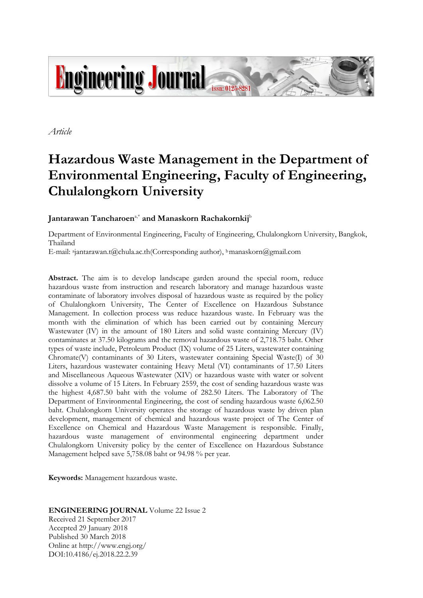

*Article*

# **Hazardous Waste Management in the Department of Environmental Engineering, Faculty of Engineering, Chulalongkorn University**

## **Jantarawan Tancharoen**a,\* **and Manaskorn Rachakornkij** b

Department of Environmental Engineering, Faculty of Engineering, Chulalongkorn University, Bangkok, Thailand

E-mail: <sup>a</sup> jantarawan.t@chula.ac.th(Corresponding author), <sup>b</sup>manaskorn@gmail.com

**Abstract.** The aim is to develop landscape garden around the special room, reduce hazardous waste from instruction and research laboratory and manage hazardous waste contaminate of laboratory involves disposal of hazardous waste as required by the policy of Chulalongkorn University, The Center of Excellence on Hazardous Substance Management. In collection process was reduce hazardous waste. In February was the month with the elimination of which has been carried out by containing Mercury Wastewater (IV) in the amount of 180 Liters and solid waste containing Mercury (IV) contaminates at 37.50 kilograms and the removal hazardous waste of 2,718.75 baht. Other types of waste include, Petroleum Product (IX) volume of 25 Liters, wastewater containing Chromate(V) contaminants of 30 Liters, wastewater containing Special Waste(I) of 30 Liters, hazardous wastewater containing Heavy Metal (VI) contaminants of 17.50 Liters and Miscellaneous Aqueous Wastewater (XIV) or hazardous waste with water or solvent dissolve a volume of 15 Liters. In February 2559, the cost of sending hazardous waste was the highest 4,687.50 baht with the volume of 282.50 Liters. The Laboratory of The Department of Environmental Engineering, the cost of sending hazardous waste 6,062.50 baht. Chulalongkorn University operates the storage of hazardous waste by driven plan development, management of chemical and hazardous waste project of The Center of Excellence on Chemical and Hazardous Waste Management is responsible. Finally, hazardous waste management of environmental engineering department under Chulalongkorn University policy by the center of Excellence on Hazardous Substance Management helped save 5,758.08 baht or 94.98 % per year.

**Keywords:** Management hazardous waste.

#### **ENGINEERING JOURNAL** Volume 22 Issue 2

Received 21 September 2017 Accepted 29 January 2018 Published 30 March 2018 Online at http://www.engj.org/ DOI:10.4186/ej.2018.22.2.39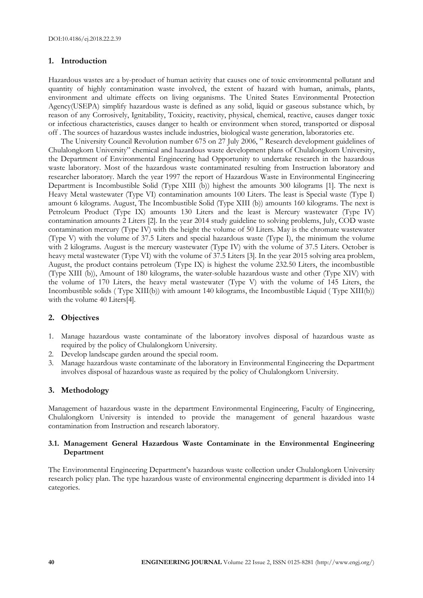#### **1. Introduction**

Hazardous wastes are a by-product of human activity that causes one of toxic environmental pollutant and quantity of highly contamination waste involved, the extent of hazard with human, animals, plants, environment and ultimate effects on living organisms. The United States Environmental Protection Agency(USEPA) simplify hazardous waste is defined as any solid, liquid or gaseous substance which, by reason of any Corrosively, Ignitability, Toxicity, reactivity, physical, chemical, reactive, causes danger toxic or infectious characteristics, causes danger to health or environment when stored, transported or disposal off . The sources of hazardous wastes include industries, biological waste generation, laboratories etc.

The University Council Revolution number 675 on 27 July 2006, " Research development guidelines of Chulalongkorn University" chemical and hazardous waste development plans of Chulalongkorn University, the Department of Environmental Engineering had Opportunity to undertake research in the hazardous waste laboratory. Most of the hazardous waste contaminated resulting from Instruction laboratory and researcher laboratory. March the year 1997 the report of Hazardous Waste in Environmental Engineering Department is Incombustible Solid (Type XIII (b)) highest the amounts 300 kilograms [1]. The next is Heavy Metal wastewater (Type VI) contamination amounts 100 Liters. The least is Special waste (Type I) amount 6 kilograms. August, The Incombustible Solid (Type XIII (b)) amounts 160 kilograms. The next is Petroleum Product (Type IX) amounts 130 Liters and the least is Mercury wastewater (Type IV) contamination amounts 2 Liters [2]. In the year 2014 study guideline to solving problems, July, COD waste contamination mercury (Type IV) with the height the volume of 50 Liters. May is the chromate wastewater (Type V) with the volume of 37.5 Liters and special hazardous waste (Type I), the minimum the volume with 2 kilograms. August is the mercury wastewater (Type IV) with the volume of 37.5 Liters. October is heavy metal wastewater (Type VI) with the volume of 37.5 Liters [3]. In the year 2015 solving area problem, August, the product contains petroleum (Type IX) is highest the volume 232.50 Liters, the incombustible (Type XIII (b)), Amount of 180 kilograms, the water-soluble hazardous waste and other (Type XIV) with the volume of 170 Liters, the heavy metal wastewater (Type V) with the volume of 145 Liters, the Incombustible solids ( Type XIII(b)) with amount 140 kilograms, the Incombustible Liquid ( Type XIII(b)) with the volume 40 Liters[4].

#### **2. Objectives**

- 1. Manage hazardous waste contaminate of the laboratory involves disposal of hazardous waste as required by the policy of Chulalongkorn University.
- 2. Develop landscape garden around the special room.
- 3. Manage hazardous waste contaminate of the laboratory in Environmental Engineering the Department involves disposal of hazardous waste as required by the policy of Chulalongkorn University.

#### **3. Methodology**

Management of hazardous waste in the department Environmental Engineering, Faculty of Engineering, Chulalongkorn University is intended to provide the management of general hazardous waste contamination from Instruction and research laboratory.

#### **3.1. Management General Hazardous Waste Contaminate in the Environmental Engineering Department**

The Environmental Engineering Department's hazardous waste collection under Chulalongkorn University research policy plan. The type hazardous waste of environmental engineering department is divided into 14 categories.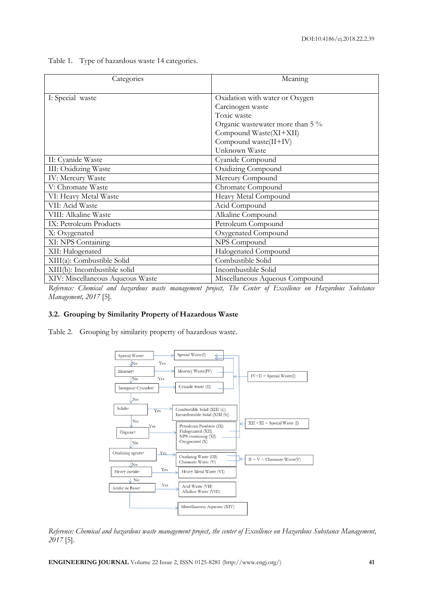Table 1. Type of hazardous waste 14 categories.

| Categories                       | Meaning                          |
|----------------------------------|----------------------------------|
| I: Special waste                 | Oxidation with water or Oxygen   |
|                                  | Carcinogen waste                 |
|                                  | Toxic waste                      |
|                                  | Organic wastewater more than 5 % |
|                                  | Compound Waste(XI+XII)           |
|                                  | Compound waste(II+IV)            |
|                                  | Unknown Waste                    |
| II: Cyanide Waste                | Cyanide Compound                 |
| III: Oxidizing Waste             | Oxidizing Compound               |
| <b>IV: Mercury Waste</b>         | Mercury Compound                 |
| V: Chromate Waste                | Chromate Compound                |
| VI: Heavy Metal Waste            | Heavy Metal Compound             |
| VII: Acid Waste                  | Acid Compound                    |
| VIII: Alkaline Waste             | Alkaline Compound                |
| IX: Petroleum Products           | Petroleum Compound               |
| X: Oxygenated                    | Oxygenated Compound              |
| XI: NPS Containing               | NPS Compound                     |
| XII: Halogenated                 | Halogenated Compound             |
| XIII(a): Combustible Solid       | Combustible Solid                |
| XIII(b): Incombustible solid     | Incombustible Solid              |
| XIV: Miscellaneous Aqueous Waste | Miscellaneous Aqueous Compound   |

*Reference: Chemical and hazardous waste management project, The Center of Excellence on Hazardous Substance Management, 2017* [5].

#### **3.2. Grouping by Similarity Property of Hazardous Waste**

Table 2. Grouping by similarity property of hazardous waste.



*Reference: Chemical and hazardous waste management project, the center of Excellence on Hazardous Substance Management, 2017* [5].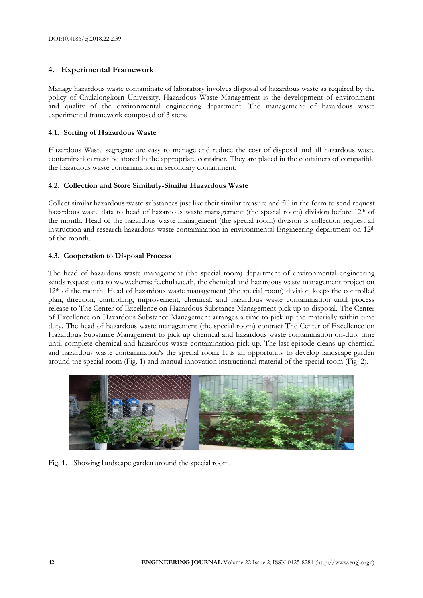## **4. Experimental Framework**

Manage hazardous waste contaminate of laboratory involves disposal of hazardous waste as required by the policy of Chulalongkorn University. Hazardous Waste Management is the development of environment and quality of the environmental engineering department. The management of hazardous waste experimental framework composed of 3 steps

### **4.1. Sorting of Hazardous Waste**

Hazardous Waste segregate are easy to manage and reduce the cost of disposal and all hazardous waste contamination must be stored in the appropriate container. They are placed in the containers of compatible the hazardous waste contamination in secondary containment.

## **4.2. Collection and Store Similarly-Similar Hazardous Waste**

Collect similar hazardous waste substances just like their similar treasure and fill in the form to send request hazardous waste data to head of hazardous waste management (the special room) division before 12<sup>th</sup> of the month. Head of the hazardous waste management (the special room) division is collection request all instruction and research hazardous waste contamination in environmental Engineering department on  $12<sup>th</sup>$ of the month.

## **4.3. Cooperation to Disposal Process**

The head of hazardous waste management (the special room) department of environmental engineering sends request data to www.chemsafe.chula.ac.th, the chemical and hazardous waste management project on 12th of the month. Head of hazardous waste management (the special room) division keeps the controlled plan, direction, controlling, improvement, chemical, and hazardous waste contamination until process release to The Center of Excellence on Hazardous Substance Management pick up to disposal. The Center of Excellence on Hazardous Substance Management arranges a time to pick up the materially within time duty. The head of hazardous waste management (the special room) contract The Center of Excellence on Hazardous Substance Management to pick up chemical and hazardous waste contamination on-duty time until complete chemical and hazardous waste contamination pick up. The last episode cleans up chemical and hazardous waste contamination's the special room. It is an opportunity to develop landscape garden around the special room (Fig. 1) and manual innovation instructional material of the special room (Fig. 2).



Fig. 1. Showing landscape garden around the special room.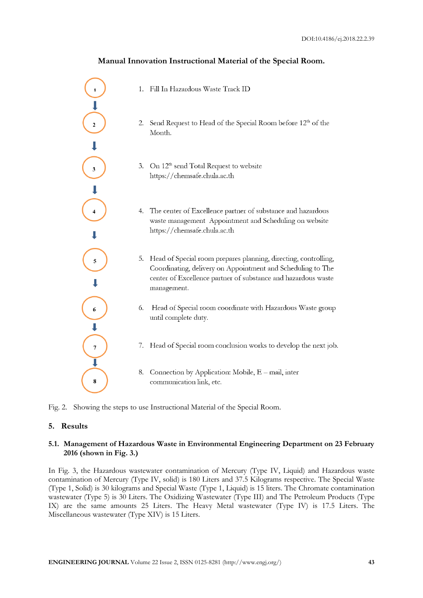## **Manual Innovation Instructional Material of the Special Room.**



- 1. Fill In Hazardous Waste Track ID
- 2. Send Request to Head of the Special Room before 12th of the Month.
- 3. On 12<sup>th</sup> send Total Request to website https://chemsafe.chula.ac.th
- 4. The center of Excellence partner of substance and hazardous waste management Appointment and Scheduling on website https://chemsafe.chula.ac.th
- 5. Head of Special room prepares planning, directing, controlling, Coordinating, delivery on Appointment and Scheduling to The center of Excellence partner of substance and hazardous waste management.
- 6. Head of Special room coordinate with Hazardous Waste group until complete duty.
- 7. Head of Special room conclusion works to develop the next job.
- 8. Connection by Application: Mobile, E mail, inter communication link, etc.

Fig. 2. Showing the steps to use Instructional Material of the Special Room.

#### **5. Results**

#### **5.1. Management of Hazardous Waste in Environmental Engineering Department on 23 February 2016 (shown in Fig. 3.)**

In Fig. 3, the Hazardous wastewater contamination of Mercury (Type IV, Liquid) and Hazardous waste contamination of Mercury (Type IV, solid) is 180 Liters and 37.5 Kilograms respective. The Special Waste (Type 1, Solid) is 30 kilograms and Special Waste (Type 1, Liquid) is 15 liters. The Chromate contamination wastewater (Type 5) is 30 Liters. The Oxidizing Wastewater (Type III) and The Petroleum Products (Type IX) are the same amounts 25 Liters. The Heavy Metal wastewater (Type IV) is 17.5 Liters. The Miscellaneous wastewater (Type XIV) is 15 Liters.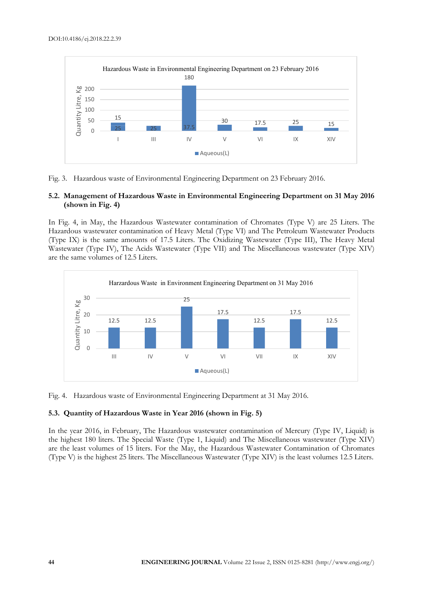

Fig. 3. Hazardous waste of Environmental Engineering Department on 23 February 2016.

#### **5.2. Management of Hazardous Waste in Environmental Engineering Department on 31 May 2016 (shown in Fig. 4)**

In Fig. 4, in May, the Hazardous Wastewater contamination of Chromates (Type V) are 25 Liters. The Hazardous wastewater contamination of Heavy Metal (Type VI) and The Petroleum Wastewater Products (Type IX) is the same amounts of 17.5 Liters. The Oxidizing Wastewater (Type III), The Heavy Metal Wastewater (Type IV), The Acids Wastewater (Type VII) and The Miscellaneous wastewater (Type XIV) are the same volumes of 12.5 Liters.



Fig. 4. Hazardous waste of Environmental Engineering Department at 31 May 2016.

#### **5.3. Quantity of Hazardous Waste in Year 2016 (shown in Fig. 5)**

In the year 2016, in February, The Hazardous wastewater contamination of Mercury (Type IV, Liquid) is the highest 180 liters. The Special Waste (Type 1, Liquid) and The Miscellaneous wastewater (Type XIV) are the least volumes of 15 liters. For the May, the Hazardous Wastewater Contamination of Chromates (Type V) is the highest 25 liters. The Miscellaneous Wastewater (Type XIV) is the least volumes 12.5 Liters.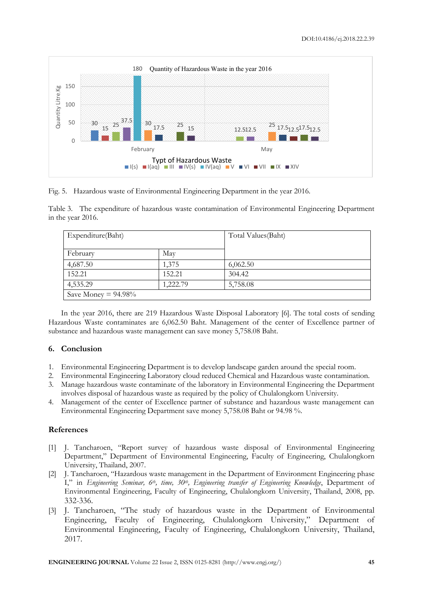

Fig. 5. Hazardous waste of Environmental Engineering Department in the year 2016.

Table 3. The expenditure of hazardous waste contamination of Environmental Engineering Department in the year 2016.

| Expenditure(Baht)      |          | Total Values (Baht) |
|------------------------|----------|---------------------|
| February               | May      |                     |
| 4,687.50               | 1,375    | 6,062.50            |
| 152.21                 | 152.21   | 304.42              |
| 4,535.29               | 1,222.79 | 5,758.08            |
| Save Money = $94.98\%$ |          |                     |

In the year 2016, there are 219 Hazardous Waste Disposal Laboratory [6]. The total costs of sending Hazardous Waste contaminates are 6,062.50 Baht. Management of the center of Excellence partner of substance and hazardous waste management can save money 5,758.08 Baht.

#### **6. Conclusion**

- 1. Environmental Engineering Department is to develop landscape garden around the special room.
- 2. Environmental Engineering Laboratory cloud reduced Chemical and Hazardous waste contamination.
- 3. Manage hazardous waste contaminate of the laboratory in Environmental Engineering the Department involves disposal of hazardous waste as required by the policy of Chulalongkorn University.
- 4. Management of the center of Excellence partner of substance and hazardous waste management can Environmental Engineering Department save money 5,758.08 Baht or 94.98 %.

#### **References**

- [1] J. Tancharoen, "Report survey of hazardous waste disposal of Environmental Engineering Department," Department of Environmental Engineering, Faculty of Engineering, Chulalongkorn University, Thailand, 2007.
- [2] J. Tancharoen, "Hazardous waste management in the Department of Environment Engineering phase I," in *Engineering Seminar, 6<sup>th</sup>, time, 30<sup>th</sup>, Engineering transfer of Engineering Knowledge*, Department of Environmental Engineering, Faculty of Engineering, Chulalongkorn University, Thailand, 2008, pp. 332-336.
- [3] J. Tancharoen, "The study of hazardous waste in the Department of Environmental Engineering, Faculty of Engineering, Chulalongkorn University," Department of Environmental Engineering, Faculty of Engineering, Chulalongkorn University, Thailand, 2017.